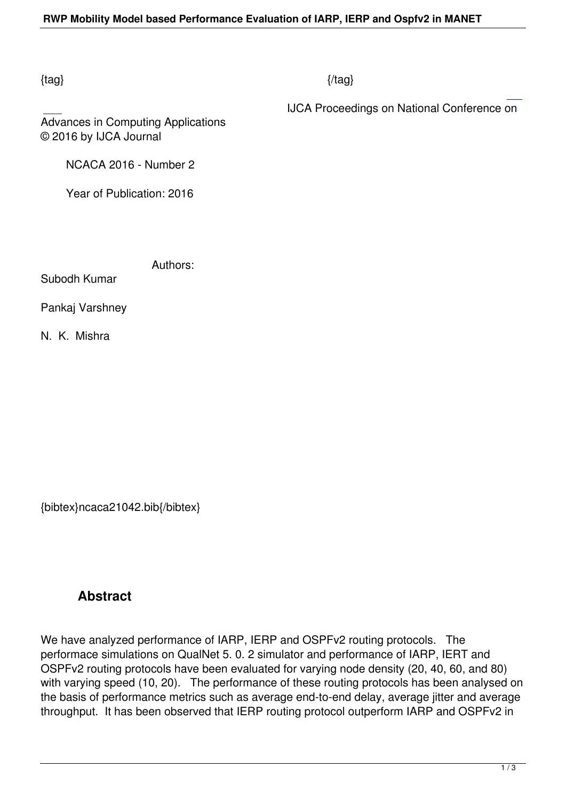## $\{tag\}$

IJCA Proceedings on National Conference on

Advances in Computing Applications © 2016 by IJCA Journal

NCACA 2016 - Number 2

Year of Publication: 2016

Authors:

Subodh Kumar

Pankaj Varshney

N. K. Mishra

{bibtex}ncaca21042.bib{/bibtex}

## **Abstract**

We have analyzed performance of IARP, IERP and OSPFv2 routing protocols. The performace simulations on QualNet 5. 0. 2 simulator and performance of IARP, IERT and OSPFv2 routing protocols have been evaluated for varying node density (20, 40, 60, and 80) with varying speed (10, 20). The performance of these routing protocols has been analysed on the basis of performance metrics such as average end-to-end delay, average jitter and average throughput. It has been observed that IERP routing protocol outperform IARP and OSPFv2 in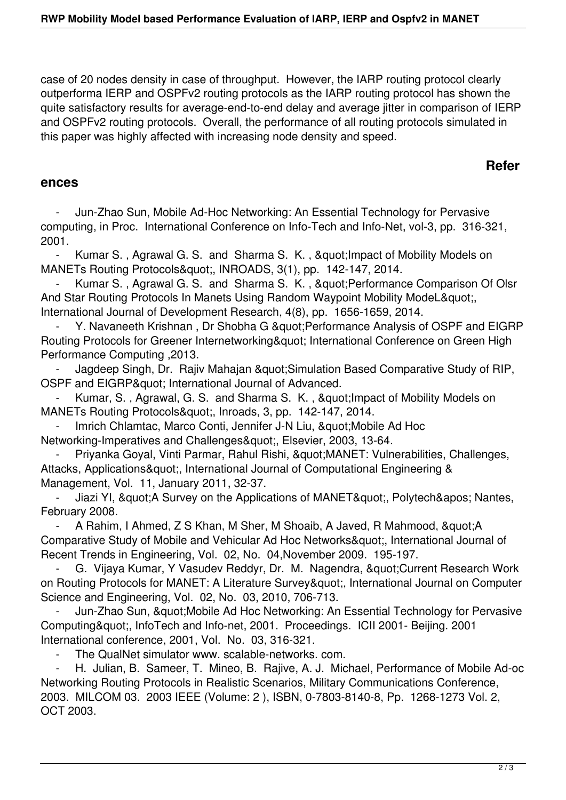case of 20 nodes density in case of throughput. However, the IARP routing protocol clearly outperforma IERP and OSPFv2 routing protocols as the IARP routing protocol has shown the quite satisfactory results for average-end-to-end delay and average jitter in comparison of IERP and OSPFv2 routing protocols. Overall, the performance of all routing protocols simulated in this paper was highly affected with increasing node density and speed.

## **Refer**

## **ences**

 - Jun-Zhao Sun, Mobile Ad-Hoc Networking: An Essential Technology for Pervasive computing, in Proc. International Conference on Info-Tech and Info-Net, vol-3, pp. 316-321, 2001.

Kumar S., Agrawal G. S. and Sharma S. K., " Impact of Mobility Models on MANETs Routing Protocols", INROADS, 3(1), pp. 142-147, 2014.

Kumar S., Agrawal G. S. and Sharma S. K., " Performance Comparison Of Olsr And Star Routing Protocols In Manets Using Random Waypoint Mobility ModeL" International Journal of Development Research, 4(8), pp. 1656-1659, 2014.

Y. Navaneeth Krishnan, Dr Shobha G " Performance Analysis of OSPF and EIGRP Routing Protocols for Greener Internetworking" International Conference on Green High Performance Computing ,2013.

Jagdeep Singh, Dr. Rajiv Mahajan & quot; Simulation Based Comparative Study of RIP, OSPF and EIGRP& guot; International Journal of Advanced.

Kumar, S., Agrawal, G. S. and Sharma S. K., " Impact of Mobility Models on MANETs Routing Protocols", Inroads, 3, pp. 142-147, 2014.

Imrich Chlamtac, Marco Conti, Jennifer J-N Liu, " Mobile Ad Hoc Networking-Imperatives and Challenges", Elsevier, 2003, 13-64.

Priyanka Goyal, Vinti Parmar, Rahul Rishi, "MANET: Vulnerabilities, Challenges, Attacks, Applications", International Journal of Computational Engineering & Management, Vol. 11, January 2011, 32-37.

Jiazi YI, & quot; A Survey on the Applications of MANET & quot;, Polytech & apos; Nantes, February 2008.

- A Rahim, I Ahmed, Z S Khan, M Sher, M Shoaib, A Javed, R Mahmood, & quot: A Comparative Study of Mobile and Vehicular Ad Hoc Networks", International Journal of Recent Trends in Engineering, Vol. 02, No. 04,November 2009. 195-197.

G. Vijaya Kumar, Y Vasudev Reddyr, Dr. M. Nagendra, & quot; Current Research Work on Routing Protocols for MANET: A Literature Survey", International Journal on Computer Science and Engineering, Vol. 02, No. 03, 2010, 706-713.

Jun-Zhao Sun, & quot: Mobile Ad Hoc Networking: An Essential Technology for Pervasive Computing", InfoTech and Info-net, 2001. Proceedings. ICII 2001- Beijing. 2001 International conference, 2001, Vol. No. 03, 316-321.

The QualNet simulator www. scalable-networks. com.

 - H. Julian, B. Sameer, T. Mineo, B. Rajive, A. J. Michael, Performance of Mobile Ad-oc Networking Routing Protocols in Realistic Scenarios, Military Communications Conference, 2003. MILCOM 03. 2003 IEEE (Volume: 2 ), ISBN, 0-7803-8140-8, Pp. 1268-1273 Vol. 2, OCT 2003.